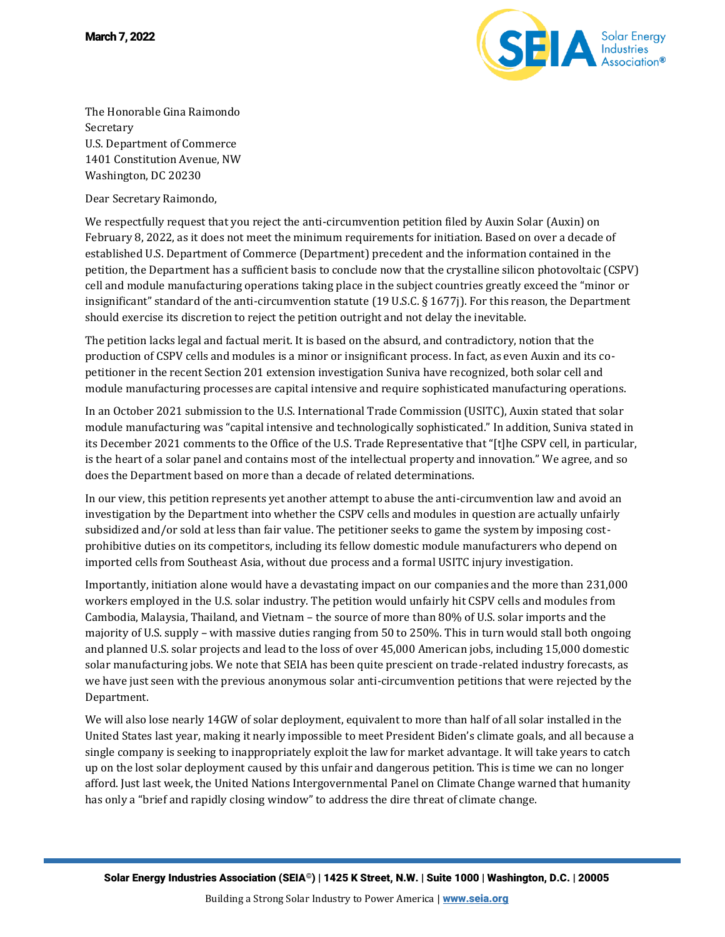

The Honorable Gina Raimondo Secretary U.S. Department of Commerce 1401 Constitution Avenue, NW Washington, DC 20230

Dear Secretary Raimondo,

We respectfully request that you reject the anti-circumvention petition filed by Auxin Solar (Auxin) on February 8, 2022, as it does not meet the minimum requirements for initiation. Based on over a decade of established U.S. Department of Commerce (Department) precedent and the information contained in the petition, the Department has a sufficient basis to conclude now that the crystalline silicon photovoltaic (CSPV) cell and module manufacturing operations taking place in the subject countries greatly exceed the "minor or insignificant" standard of the anti-circumvention statute (19 U.S.C. § 1677j). For this reason, the Department should exercise its discretion to reject the petition outright and not delay the inevitable.

The petition lacks legal and factual merit. It is based on the absurd, and contradictory, notion that the production of CSPV cells and modules is a minor or insignificant process. In fact, as even Auxin and its copetitioner in the recent Section 201 extension investigation Suniva have recognized, both solar cell and module manufacturing processes are capital intensive and require sophisticated manufacturing operations.

In an October 2021 submission to the U.S. International Trade Commission (USITC), Auxin stated that solar module manufacturing was "capital intensive and technologically sophisticated." In addition, Suniva stated in its December 2021 comments to the Office of the U.S. Trade Representative that "[t]he CSPV cell, in particular, is the heart of a solar panel and contains most of the intellectual property and innovation." We agree, and so does the Department based on more than a decade of related determinations.

In our view, this petition represents yet another attempt to abuse the anti-circumvention law and avoid an investigation by the Department into whether the CSPV cells and modules in question are actually unfairly subsidized and/or sold at less than fair value. The petitioner seeks to game the system by imposing costprohibitive duties on its competitors, including its fellow domestic module manufacturers who depend on imported cells from Southeast Asia, without due process and a formal USITC injury investigation.

Importantly, initiation alone would have a devastating impact on our companies and the more than 231,000 workers employed in the U.S. solar industry. The petition would unfairly hit CSPV cells and modules from Cambodia, Malaysia, Thailand, and Vietnam – the source of more than 80% of U.S. solar imports and the majority of U.S. supply – with massive duties ranging from 50 to 250%. This in turn would stall both ongoing and planned U.S. solar projects and lead to the loss of over 45,000 American jobs, including 15,000 domestic solar manufacturing jobs. We note that SEIA has been quite prescient on trade-related industry forecasts, as we have just seen with the previous anonymous solar anti-circumvention petitions that were rejected by the Department.

We will also lose nearly 14GW of solar deployment, equivalent to more than half of all solar installed in the United States last year, making it nearly impossible to meet President Biden's climate goals, and all because a single company is seeking to inappropriately exploit the law for market advantage. It will take years to catch up on the lost solar deployment caused by this unfair and dangerous petition. This is time we can no longer afford. Just last week, the United Nations Intergovernmental Panel on Climate Change warned that humanity has only a "brief and rapidly closing window" to address the dire threat of climate change.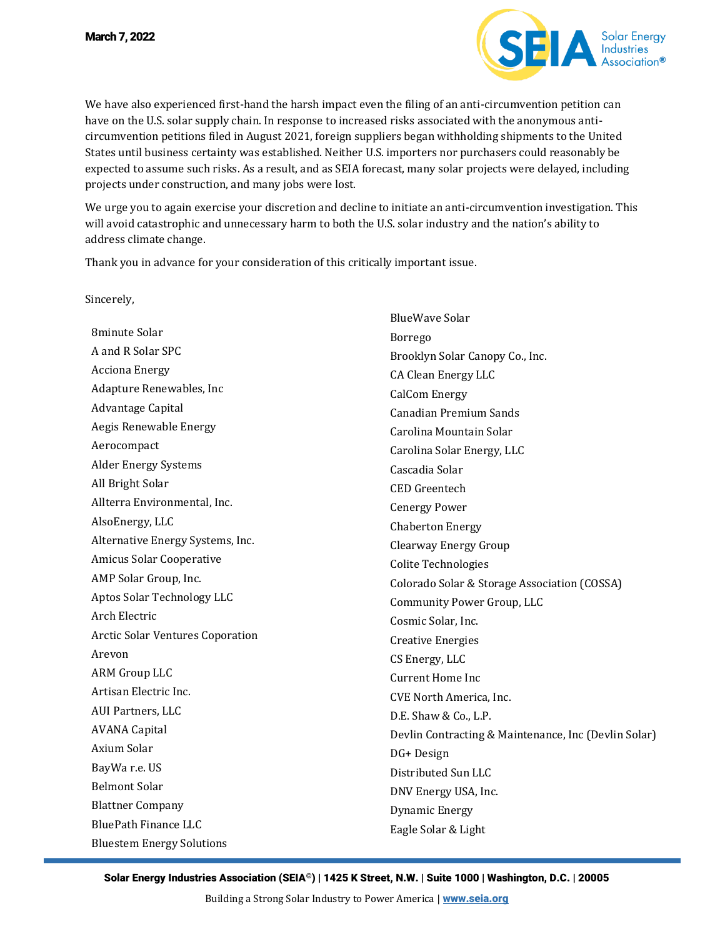

We have also experienced first-hand the harsh impact even the filing of an anti-circumvention petition can have on the U.S. solar supply chain. In response to increased risks associated with the anonymous anticircumvention petitions filed in August 2021, foreign suppliers began withholding shipments to the United States until business certainty was established. Neither U.S. importers nor purchasers could reasonably be expected to assume such risks. As a result, and as SEIA forecast, many solar projects were delayed, including projects under construction, and many jobs were lost.

We urge you to again exercise your discretion and decline to initiate an anti-circumvention investigation. This will avoid catastrophic and unnecessary harm to both the U.S. solar industry and the nation's ability to address climate change.

Thank you in advance for your consideration of this critically important issue.

Sincerely,

8minute Solar A and R Solar SPC Acciona Energy Adapture Renewables, Inc Advantage Capital Aegis Renewable Energy Aerocompact Alder Energy Systems All Bright Solar Allterra Environmental, Inc. AlsoEnergy, LLC Alternative Energy Systems, Inc. Amicus Solar Cooperative AMP Solar Group, Inc. Aptos Solar Technology LLC Arch Electric Arctic Solar Ventures Coporation Arevon ARM Group LLC Artisan Electric Inc. AUI Partners, LLC AVANA Capital Axium Solar BayWa r.e. US Belmont Solar Blattner Company BluePath Finance LLC Bluestem Energy Solutions BlueWave Solar Borrego Brooklyn Solar Canopy Co., Inc. CA Clean Energy LLC CalCom Energy Canadian Premium Sands Carolina Mountain Solar Carolina Solar Energy, LLC Cascadia Solar CED Greentech Cenergy Power Chaberton Energy Clearway Energy Group Colite Technologies Colorado Solar & Storage Association (COSSA) Community Power Group, LLC Cosmic Solar, Inc. Creative Energies CS Energy, LLC Current Home Inc CVE North America, Inc. D.E. Shaw & Co., L.P. Devlin Contracting & Maintenance, Inc (Devlin Solar) DG+ Design Distributed Sun LLC DNV Energy USA, Inc. Dynamic Energy Eagle Solar & Light

Solar Energy Industries Association (SEIA©) | 1425 K Street, N.W. | Suite 1000 | Washington, D.C. | 20005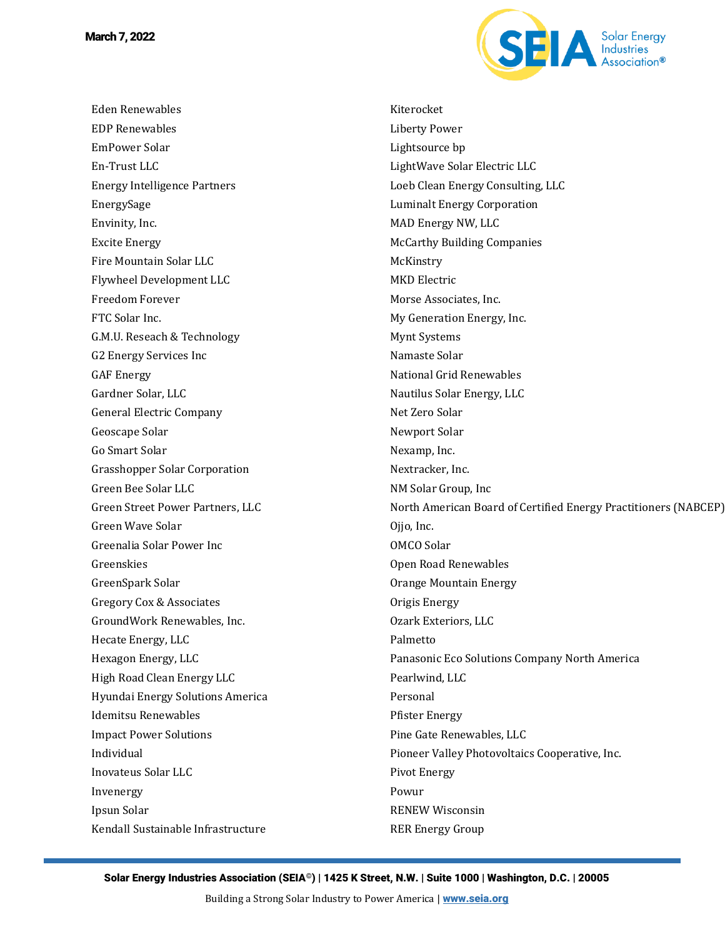Eden Renewables EDP Renewables EmPower Solar En-Trust LLC Energy Intelligence Partners EnergySage Envinity, Inc. Excite Energy Fire Mountain Solar LLC Flywheel Development LLC Freedom Forever FTC Solar Inc. G.M.U. Reseach & Technology G2 Energy Services Inc GAF Energy Gardner Solar, LLC General Electric Company Geoscape Solar Go Smart Solar Grasshopper Solar Corporation Green Bee Solar LLC Green Street Power Partners, LLC Green Wave Solar Greenalia Solar Power Inc Greenskies GreenSpark Solar Gregory Cox & Associates GroundWork Renewables, Inc. Hecate Energy, LLC Hexagon Energy, LLC High Road Clean Energy LLC Hyundai Energy Solutions America Idemitsu Renewables Impact Power Solutions Individual Inovateus Solar LLC Invenergy Ipsun Solar Kendall Sustainable Infrastructure



Kiterocket Liberty Power Lightsource bp LightWave Solar Electric LLC Loeb Clean Energy Consulting, LLC Luminalt Energy Corporation MAD Energy NW, LLC McCarthy Building Companies **McKinstry** MKD Electric Morse Associates, Inc. My Generation Energy, Inc. Mynt Systems Namaste Solar National Grid Renewables Nautilus Solar Energy, LLC Net Zero Solar Newport Solar Nexamp, Inc. Nextracker, Inc. NM Solar Group, Inc North American Board of Certified Energy Practitioners (NABCEP) Ojjo, Inc. OMCO Solar Open Road Renewables Orange Mountain Energy Origis Energy Ozark Exteriors, LLC Palmetto Panasonic Eco Solutions Company North America Pearlwind, LLC Personal Pfister Energy Pine Gate Renewables, LLC Pioneer Valley Photovoltaics Cooperative, Inc. Pivot Energy Powur RENEW Wisconsin RER Energy Group